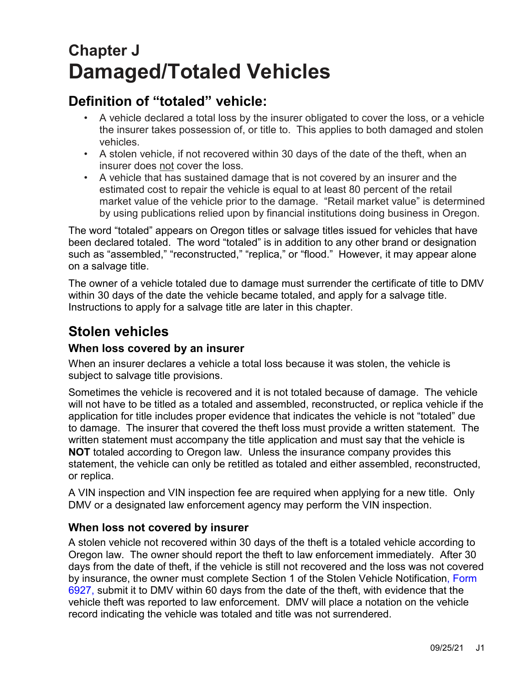# **Chapter J Damaged/Totaled Vehicles**

## **Definition of "totaled" vehicle:**

- A vehicle declared a total loss by the insurer obligated to cover the loss, or a vehicle the insurer takes possession of, or title to. This applies to both damaged and stolen vehicles.
- A stolen vehicle, if not recovered within 30 days of the date of the theft, when an insurer does not cover the loss.
- A vehicle that has sustained damage that is not covered by an insurer and the estimated cost to repair the vehicle is equal to at least 80 percent of the retail market value of the vehicle prior to the damage. "Retail market value" is determined by using publications relied upon by financial institutions doing business in Oregon.

The word "totaled" appears on Oregon titles or salvage titles issued for vehicles that have been declared totaled. The word "totaled" is in addition to any other brand or designation such as "assembled," "reconstructed," "replica," or "flood." However, it may appear alone on a salvage title.

The owner of a vehicle totaled due to damage must surrender the certificate of title to DMV within 30 days of the date the vehicle became totaled, and apply for a salvage title. Instructions to apply for a salvage title are later in this chapter.

## **Stolen vehicles**

### **When loss covered by an insurer**

When an insurer declares a vehicle a total loss because it was stolen, the vehicle is subject to salvage title provisions.

Sometimes the vehicle is recovered and it is not totaled because of damage. The vehicle will not have to be titled as a totaled and assembled, reconstructed, or replica vehicle if the application for title includes proper evidence that indicates the vehicle is not "totaled" due to damage. The insurer that covered the theft loss must provide a written statement. The written statement must accompany the title application and must say that the vehicle is **NOT** totaled according to Oregon law. Unless the insurance company provides this statement, the vehicle can only be retitled as totaled and either assembled, reconstructed, or replica.

A VIN inspection and VIN inspection fee are required when applying for a new title. Only DMV or a designated law enforcement agency may perform the VIN inspection.

#### **When loss not covered by insurer**

A stolen vehicle not recovered within 30 days of the theft is a totaled vehicle according to Oregon law. The owner should report the theft to law enforcement immediately. After 30 days from the date of theft, if the vehicle is still not recovered and the loss was not covered by insurance, the owner must complete Section 1 of the Stolen Vehicle Notification, [Form](https://www.odot.state.or.us/forms/dmv/6927fill.pdf)  [6927,](https://www.odot.state.or.us/forms/dmv/6927fill.pdf) submit it to DMV within 60 days from the date of the theft, with evidence that the vehicle theft was reported to law enforcement. DMV will place a notation on the vehicle record indicating the vehicle was totaled and title was not surrendered.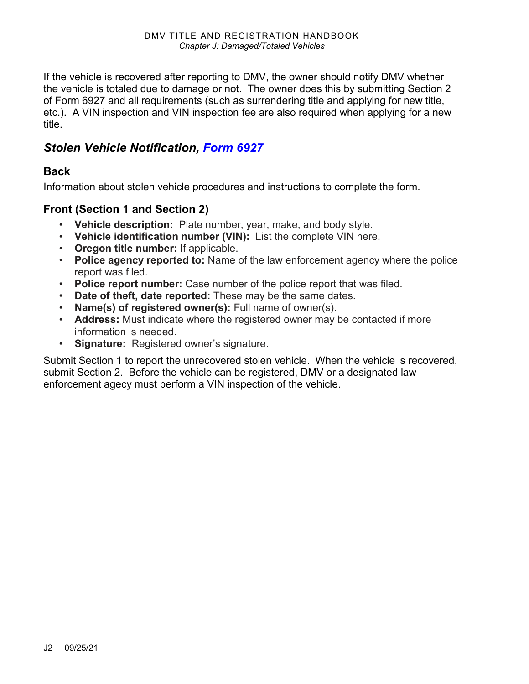If the vehicle is recovered after reporting to DMV, the owner should notify DMV whether the vehicle is totaled due to damage or not. The owner does this by submitting Section 2 of Form 6927 and all requirements (such as surrendering title and applying for new title, etc.). A VIN inspection and VIN inspection fee are also required when applying for a new title.

### *Stolen Vehicle Notification, [Form 6927](https://www.odot.state.or.us/forms/dmv/6927fill.pdf)*

#### **Back**

Information about stolen vehicle procedures and instructions to complete the form.

#### **Front (Section 1 and Section 2)**

- **Vehicle description:** Plate number, year, make, and body style.
- **Vehicle identification number (VIN):** List the complete VIN here.
- **Oregon title number:** If applicable.
- **Police agency reported to:** Name of the law enforcement agency where the police report was filed.
- **Police report number:** Case number of the police report that was filed.
- **Date of theft, date reported:** These may be the same dates.
- **Name(s) of registered owner(s):** Full name of owner(s).
- **Address:** Must indicate where the registered owner may be contacted if more information is needed.
- **Signature:** Registered owner's signature.

Submit Section 1 to report the unrecovered stolen vehicle. When the vehicle is recovered, submit Section 2. Before the vehicle can be registered, DMV or a designated law enforcement agecy must perform a VIN inspection of the vehicle.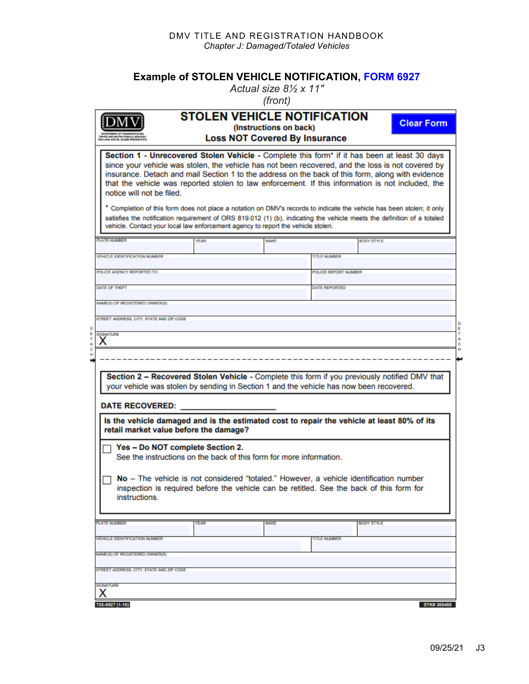#### DMV TITLE AND REGISTRATION HANDBOOK *Chapter J: Damaged/Totaled Vehicles*

#### **Example of STOLEN VEHICLE NOTIFICATION, [FORM 6927](https://www.odot.state.or.us/forms/dmv/6927fill.pdf)**

*Actual size 8½ x 11"*

| <b>ENE, BALEM GREGON 613</b>                                                                                        | <b>STOLEN VEHICLE NOTIFICATION</b>                                                                                                                                                                                                                                                                                                                                                                                                                                                                                                                                                                                                                                                                                                                | (Instructions on back)<br><b>Loss NOT Covered By Insurance</b> |                      | <b>Clear Form</b> |
|---------------------------------------------------------------------------------------------------------------------|---------------------------------------------------------------------------------------------------------------------------------------------------------------------------------------------------------------------------------------------------------------------------------------------------------------------------------------------------------------------------------------------------------------------------------------------------------------------------------------------------------------------------------------------------------------------------------------------------------------------------------------------------------------------------------------------------------------------------------------------------|----------------------------------------------------------------|----------------------|-------------------|
| notice will not be filed.                                                                                           | Section 1 - Unrecovered Stolen Vehicle - Complete this form* if it has been at least 30 days<br>since your vehicle was stolen, the vehicle has not been recovered, and the loss is not covered by<br>insurance. Detach and mail Section 1 to the address on the back of this form, along with evidence<br>that the vehicle was reported stolen to law enforcement. If this information is not included, the<br>Completion of this form does not place a notation on DMV's records to indicate the vehicle has been stolen; it only<br>satisfies the notification requirement of ORS 819.012 (1) (b), indicating the vehicle meets the definition of a totaled<br>vehicle. Contact your local law enforcement agency to report the vehicle stolen. |                                                                |                      |                   |
| <b>PLATE NUMBER</b>                                                                                                 | <b>YEAR</b>                                                                                                                                                                                                                                                                                                                                                                                                                                                                                                                                                                                                                                                                                                                                       | <b>MAKE</b>                                                    | <b>BODY STYLE</b>    |                   |
| <b>VEHICLE IDENTIFICATION NUMBER</b>                                                                                |                                                                                                                                                                                                                                                                                                                                                                                                                                                                                                                                                                                                                                                                                                                                                   |                                                                | <b>TITLE NUMBER</b>  |                   |
|                                                                                                                     |                                                                                                                                                                                                                                                                                                                                                                                                                                                                                                                                                                                                                                                                                                                                                   |                                                                |                      |                   |
| POLICE AGENCY REPORTED TO                                                                                           |                                                                                                                                                                                                                                                                                                                                                                                                                                                                                                                                                                                                                                                                                                                                                   |                                                                | POLICE REPORT NUMBER |                   |
| <b>DATE OF THEFT</b>                                                                                                |                                                                                                                                                                                                                                                                                                                                                                                                                                                                                                                                                                                                                                                                                                                                                   |                                                                | <b>DATE REPORTED</b> |                   |
|                                                                                                                     |                                                                                                                                                                                                                                                                                                                                                                                                                                                                                                                                                                                                                                                                                                                                                   |                                                                |                      |                   |
| NAME(S) OF REGISTERED OWNER(S)                                                                                      |                                                                                                                                                                                                                                                                                                                                                                                                                                                                                                                                                                                                                                                                                                                                                   |                                                                |                      |                   |
| STREET ADDRESS, CITY, STATE AND ZIP CODE                                                                            |                                                                                                                                                                                                                                                                                                                                                                                                                                                                                                                                                                                                                                                                                                                                                   |                                                                |                      |                   |
|                                                                                                                     |                                                                                                                                                                                                                                                                                                                                                                                                                                                                                                                                                                                                                                                                                                                                                   |                                                                |                      |                   |
|                                                                                                                     |                                                                                                                                                                                                                                                                                                                                                                                                                                                                                                                                                                                                                                                                                                                                                   |                                                                |                      |                   |
|                                                                                                                     | Section 2 - Recovered Stolen Vehicle - Complete this form if you previously notified DMV that                                                                                                                                                                                                                                                                                                                                                                                                                                                                                                                                                                                                                                                     |                                                                |                      |                   |
| retail market value before the damage?                                                                              | your vehicle was stolen by sending in Section 1 and the vehicle has now been recovered.<br>Is the vehicle damaged and is the estimated cost to repair the vehicle at least 80% of its                                                                                                                                                                                                                                                                                                                                                                                                                                                                                                                                                             |                                                                |                      |                   |
| Yes - Do NOT complete Section 2.                                                                                    | See the instructions on the back of this form for more information.                                                                                                                                                                                                                                                                                                                                                                                                                                                                                                                                                                                                                                                                               |                                                                |                      |                   |
| <b>SIGNATURE</b><br>х<br><b>DATE RECOVERED:</b><br>instructions.                                                    | No - The vehicle is not considered "totaled." However, a vehicle identification number<br>inspection is required before the vehicle can be retitled. See the back of this form for                                                                                                                                                                                                                                                                                                                                                                                                                                                                                                                                                                |                                                                |                      |                   |
| <b>PLATE NUMBER</b>                                                                                                 | <b>YEAR</b>                                                                                                                                                                                                                                                                                                                                                                                                                                                                                                                                                                                                                                                                                                                                       | <b>MAKE</b>                                                    | <b>BODY STYLE</b>    |                   |
|                                                                                                                     |                                                                                                                                                                                                                                                                                                                                                                                                                                                                                                                                                                                                                                                                                                                                                   |                                                                |                      |                   |
|                                                                                                                     |                                                                                                                                                                                                                                                                                                                                                                                                                                                                                                                                                                                                                                                                                                                                                   |                                                                | <b>TITLE NUMBER</b>  |                   |
|                                                                                                                     |                                                                                                                                                                                                                                                                                                                                                                                                                                                                                                                                                                                                                                                                                                                                                   |                                                                |                      |                   |
| <b>VEHICLE IDENTIFICATION NUMBER</b><br>NAME(S) OF REGISTERED OWNER(S).<br>STREET ADDRESS, CITY, STATE AND ZIP CODE |                                                                                                                                                                                                                                                                                                                                                                                                                                                                                                                                                                                                                                                                                                                                                   |                                                                |                      |                   |
|                                                                                                                     |                                                                                                                                                                                                                                                                                                                                                                                                                                                                                                                                                                                                                                                                                                                                                   |                                                                |                      |                   |
| <b>SIGNATURE</b><br>x                                                                                               |                                                                                                                                                                                                                                                                                                                                                                                                                                                                                                                                                                                                                                                                                                                                                   |                                                                |                      |                   |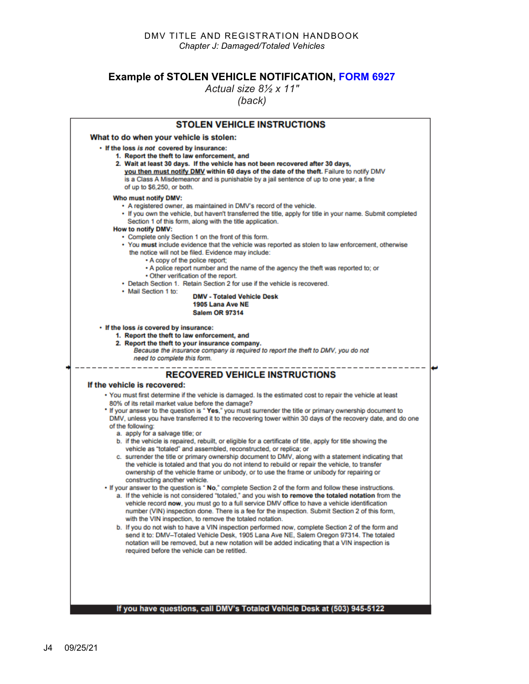#### **Example of STOLEN VEHICLE NOTIFICATION, [FORM 6927](https://www.odot.state.or.us/forms/dmv/6927fill.pdf)**

*Actual size 8½ x 11"*

*(back)* 

| <b>STOLEN VEHICLE INSTRUCTIONS</b>                                                                                                                                                                                                                                                                                                                                                                                                                                                                                                                                                                                                                                                                                                                                                                                                                                                                                                                                                                                                                                                                                                                                                                  |
|-----------------------------------------------------------------------------------------------------------------------------------------------------------------------------------------------------------------------------------------------------------------------------------------------------------------------------------------------------------------------------------------------------------------------------------------------------------------------------------------------------------------------------------------------------------------------------------------------------------------------------------------------------------------------------------------------------------------------------------------------------------------------------------------------------------------------------------------------------------------------------------------------------------------------------------------------------------------------------------------------------------------------------------------------------------------------------------------------------------------------------------------------------------------------------------------------------|
| What to do when your vehicle is stolen:                                                                                                                                                                                                                                                                                                                                                                                                                                                                                                                                                                                                                                                                                                                                                                                                                                                                                                                                                                                                                                                                                                                                                             |
| . If the loss is not covered by insurance:<br>1. Report the theft to law enforcement, and<br>2. Wait at least 30 days. If the vehicle has not been recovered after 30 days,<br>you then must notify DMV within 60 days of the date of the theft. Failure to notify DMV<br>is a Class A Misdemeanor and is punishable by a jail sentence of up to one year, a fine<br>of up to \$6,250, or both.                                                                                                                                                                                                                                                                                                                                                                                                                                                                                                                                                                                                                                                                                                                                                                                                     |
| Who must notify DMV:<br>• A registered owner, as maintained in DMV's record of the vehicle.<br>If you own the vehicle, but haven't transferred the title, apply for title in your name. Submit completed<br>Section 1 of this form, along with the title application.<br>How to notify DMV:<br>• Complete only Section 1 on the front of this form.<br>• You must include evidence that the vehicle was reported as stolen to law enforcement, otherwise<br>the notice will not be filed. Evidence may include:<br>• A copy of the police report;<br>. A police report number and the name of the agency the theft was reported to; or<br>. Other verification of the report.<br>• Detach Section 1. Retain Section 2 for use if the vehicle is recovered.<br>• Mail Section 1 to:<br><b>DMV - Totaled Vehicle Desk</b><br>1905 Lana Ave NE<br><b>Salem OR 97314</b>                                                                                                                                                                                                                                                                                                                                |
| • If the loss is covered by insurance:<br>1. Report the theft to law enforcement, and<br>2. Report the theft to your insurance company.<br>Because the insurance company is required to report the theft to DMV, you do not<br>need to complete this form.                                                                                                                                                                                                                                                                                                                                                                                                                                                                                                                                                                                                                                                                                                                                                                                                                                                                                                                                          |
| <b>RECOVERED VEHICLE INSTRUCTIONS</b>                                                                                                                                                                                                                                                                                                                                                                                                                                                                                                                                                                                                                                                                                                                                                                                                                                                                                                                                                                                                                                                                                                                                                               |
| If the vehicle is recovered:                                                                                                                                                                                                                                                                                                                                                                                                                                                                                                                                                                                                                                                                                                                                                                                                                                                                                                                                                                                                                                                                                                                                                                        |
| • You must first determine if the vehicle is damaged. Is the estimated cost to repair the vehicle at least<br>80% of its retail market value before the damage?<br>* If your answer to the question is "Yes," you must surrender the title or primary ownership document to<br>DMV, unless you have transferred it to the recovering tower within 30 days of the recovery date, and do one<br>of the following:<br>a. apply for a salvage title; or<br>b. if the vehicle is repaired, rebuilt, or eligible for a certificate of title, apply for title showing the<br>vehicle as "totaled" and assembled, reconstructed, or replica; or<br>c. surrender the title or primary ownership document to DMV, along with a statement indicating that<br>the vehicle is totaled and that you do not intend to rebuild or repair the vehicle, to transfer<br>ownership of the vehicle frame or unibody, or to use the frame or unibody for repairing or<br>constructing another vehicle.<br>. If your answer to the question is " No," complete Section 2 of the form and follow these instructions.<br>a. If the vehicle is not considered "totaled," and you wish to remove the totaled notation from the |
| vehicle record now, you must go to a full service DMV office to have a vehicle identification<br>number (VIN) inspection done. There is a fee for the inspection. Submit Section 2 of this form,<br>with the VIN inspection, to remove the totaled notation.<br>b. If you do not wish to have a VIN inspection performed now, complete Section 2 of the form and<br>send it to: DMV-Totaled Vehicle Desk, 1905 Lana Ave NE, Salem Oregon 97314. The totaled                                                                                                                                                                                                                                                                                                                                                                                                                                                                                                                                                                                                                                                                                                                                         |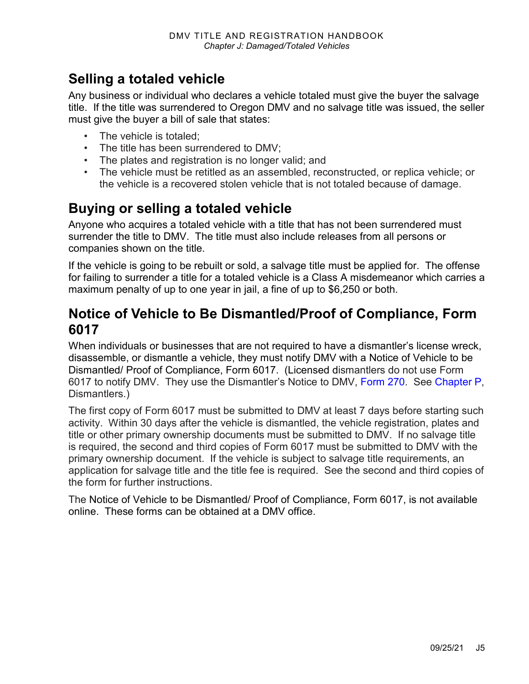## **Selling a totaled vehicle**

Any business or individual who declares a vehicle totaled must give the buyer the salvage title. If the title was surrendered to Oregon DMV and no salvage title was issued, the seller must give the buyer a bill of sale that states:

- The vehicle is totaled:
- The title has been surrendered to DMV;
- The plates and registration is no longer valid; and
- The vehicle must be retitled as an assembled, reconstructed, or replica vehicle; or the vehicle is a recovered stolen vehicle that is not totaled because of damage.

## **Buying or selling a totaled vehicle**

Anyone who acquires a totaled vehicle with a title that has not been surrendered must surrender the title to DMV. The title must also include releases from all persons or companies shown on the title.

If the vehicle is going to be rebuilt or sold, a salvage title must be applied for. The offense for failing to surrender a title for a totaled vehicle is a Class A misdemeanor which carries a maximum penalty of up to one year in jail, a fine of up to \$6,250 or both.

### **Notice of Vehicle to Be Dismantled/Proof of Compliance, Form 6017**

When individuals or businesses that are not required to have a dismantler's license wreck, disassemble, or dismantle a vehicle, they must notify DMV with a Notice of Vehicle to be Dismantled/ Proof of Compliance, Form 6017. (Licensed dismantlers do not use Form 6017 to notify DMV. They use the Dismantler's Notice to DMV, [Form 270.](https://www.odot.state.or.us/forms/dmv/270fill.pdf) See [Chapter P,](https://www.oregon.gov/ODOT/DMV/docs/VTRH/Chapter_P.pdf) Dismantlers.)

The first copy of Form 6017 must be submitted to DMV at least 7 days before starting such activity. Within 30 days after the vehicle is dismantled, the vehicle registration, plates and title or other primary ownership documents must be submitted to DMV. If no salvage title is required, the second and third copies of Form 6017 must be submitted to DMV with the primary ownership document. If the vehicle is subject to salvage title requirements, an application for salvage title and the title fee is required. See the second and third copies of the form for further instructions.

The Notice of Vehicle to be Dismantled/ Proof of Compliance, Form 6017, is not available online. These forms can be obtained at a DMV office.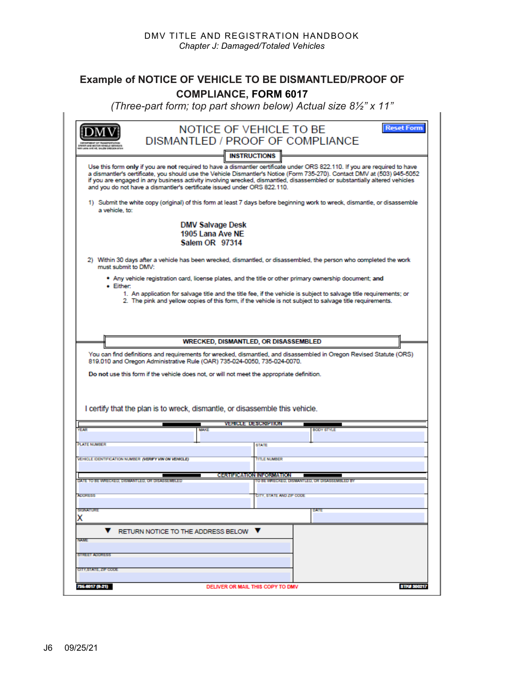#### **Example of NOTICE OF VEHICLE TO BE DISMANTLED/PROOF OF COMPLIANCE, FORM 6017**

*(Three-part form; top part shown below) Actual size 8½" x 11"*

|                                                 |                                                      | NOTICE OF VEHICLE TO BE                                                                                                    |                                               | <b>Reset Form</b>   |
|-------------------------------------------------|------------------------------------------------------|----------------------------------------------------------------------------------------------------------------------------|-----------------------------------------------|---------------------|
|                                                 |                                                      | DISMANTLED / PROOF OF COMPLIANCE                                                                                           |                                               |                     |
|                                                 |                                                      |                                                                                                                            |                                               |                     |
|                                                 |                                                      | <b>INSTRUCTIONS</b>                                                                                                        |                                               |                     |
|                                                 |                                                      | Use this form only if you are not required to have a dismantler certificate under ORS 822.110. If you are required to have |                                               |                     |
|                                                 |                                                      | a dismantler's certificate, you should use the Vehicle Dismantler's Notice (Form 735-270). Contact DMV at (503) 945-5052   |                                               |                     |
|                                                 |                                                      | if you are engaged in any business activity involving wrecked, dismantled, disassembled or substantially altered vehicles  |                                               |                     |
|                                                 |                                                      | and you do not have a dismantler's certificate issued under ORS 822.110.                                                   |                                               |                     |
|                                                 |                                                      |                                                                                                                            |                                               |                     |
|                                                 |                                                      | 1) Submit the white copy (original) of this form at least 7 days before beginning work to wreck, dismantle, or disassemble |                                               |                     |
| a vehicle, to:                                  |                                                      |                                                                                                                            |                                               |                     |
|                                                 |                                                      | <b>DMV Salvage Desk</b>                                                                                                    |                                               |                     |
|                                                 |                                                      | 1905 Lana Ave NE                                                                                                           |                                               |                     |
|                                                 |                                                      | Salem OR 97314                                                                                                             |                                               |                     |
|                                                 |                                                      |                                                                                                                            |                                               |                     |
|                                                 |                                                      | 2) Within 30 days after a vehicle has been wrecked, dismantled, or disassembled, the person who completed the work         |                                               |                     |
| must submit to DMV:                             |                                                      |                                                                                                                            |                                               |                     |
|                                                 |                                                      | Any vehicle registration card, license plates, and the title or other primary ownership document; and                      |                                               |                     |
| • Either:                                       |                                                      | 1. An application for salvage title and the title fee, if the vehicle is subject to salvage title requirements; or         |                                               |                     |
|                                                 |                                                      | 2. The pink and yellow copies of this form, if the vehicle is not subject to salvage title requirements.                   |                                               |                     |
|                                                 |                                                      |                                                                                                                            |                                               |                     |
|                                                 |                                                      |                                                                                                                            |                                               |                     |
|                                                 |                                                      |                                                                                                                            |                                               |                     |
|                                                 |                                                      |                                                                                                                            |                                               |                     |
|                                                 |                                                      | <b>WRECKED, DISMANTLED, OR DISASSEMBLED</b>                                                                                |                                               |                     |
|                                                 |                                                      | You can find definitions and requirements for wrecked, dismantled, and disassembled in Oregon Revised Statute (ORS)        |                                               |                     |
|                                                 |                                                      | 819.010 and Oregon Administrative Rule (OAR) 735-024-0050, 735-024-0070.                                                   |                                               |                     |
|                                                 |                                                      |                                                                                                                            |                                               |                     |
|                                                 |                                                      | Do not use this form if the vehicle does not, or will not meet the appropriate definition.                                 |                                               |                     |
|                                                 |                                                      |                                                                                                                            |                                               |                     |
|                                                 |                                                      |                                                                                                                            |                                               |                     |
|                                                 |                                                      |                                                                                                                            |                                               |                     |
|                                                 |                                                      | I certify that the plan is to wreck, dismantle, or disassemble this vehicle.                                               |                                               |                     |
|                                                 |                                                      | <b>VEHICLE DESCRIPTION</b>                                                                                                 |                                               |                     |
|                                                 | MAKE                                                 |                                                                                                                            | <b>BODY STYLE</b>                             |                     |
|                                                 |                                                      |                                                                                                                            |                                               |                     |
| <b>PLATE NUMBER</b>                             |                                                      | <b>STATE</b>                                                                                                               |                                               |                     |
|                                                 | VEHICLE IDENTIFICATION NUMBER (VERFY VIN ON VEHICLE) | <b>TITLE NUMBER</b>                                                                                                        |                                               |                     |
|                                                 |                                                      |                                                                                                                            |                                               |                     |
|                                                 |                                                      | <b>CERTIFICATION INFORMATION</b>                                                                                           |                                               |                     |
| DATE TO BE WRECKED, DISMANTLED, OR DISASSEMBLED |                                                      |                                                                                                                            | TO BE WRECKED, DISMANTLED, OR DISASSEMBLED BY |                     |
|                                                 |                                                      |                                                                                                                            |                                               |                     |
| <b>ADORESS</b>                                  |                                                      | CITY, STATE AND ZIP CODE                                                                                                   |                                               |                     |
| <b>SIGNATURE</b>                                |                                                      |                                                                                                                            | DATE                                          |                     |
|                                                 |                                                      |                                                                                                                            |                                               |                     |
|                                                 |                                                      |                                                                                                                            |                                               |                     |
|                                                 |                                                      |                                                                                                                            |                                               |                     |
| x                                               | $\nabla$ RETURN NOTICE TO THE ADDRESS BELOW $\nabla$ |                                                                                                                            |                                               |                     |
|                                                 |                                                      |                                                                                                                            |                                               |                     |
| <b>NAME</b>                                     |                                                      |                                                                                                                            |                                               |                     |
| <b>STREET ADDRESS</b>                           |                                                      |                                                                                                                            |                                               |                     |
|                                                 |                                                      |                                                                                                                            |                                               |                     |
|                                                 |                                                      |                                                                                                                            |                                               |                     |
| CITY.STATE. ZIP CODE<br>735-8017 (8-21)         |                                                      | DELIVER OR MAIL THIS COPY TO DMV                                                                                           |                                               | <b>STIVE 300217</b> |

r.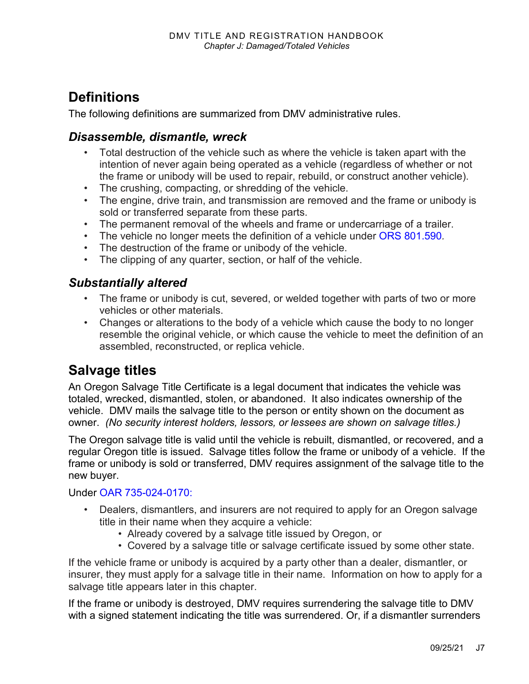## **Definitions**

The following definitions are summarized from DMV administrative rules.

### *Disassemble, dismantle, wreck*

- Total destruction of the vehicle such as where the vehicle is taken apart with the intention of never again being operated as a vehicle (regardless of whether or not the frame or unibody will be used to repair, rebuild, or construct another vehicle).
- The crushing, compacting, or shredding of the vehicle.
- The engine, drive train, and transmission are removed and the frame or unibody is sold or transferred separate from these parts.
- The permanent removal of the wheels and frame or undercarriage of a trailer.
- The vehicle no longer meets the definition of a vehicle under [ORS 801.590](https://www.oregonlegislature.gov/bills_laws/ors/ors801.html)*.*
- The destruction of the frame or unibody of the vehicle.
- The clipping of any quarter, section, or half of the vehicle.

#### *Substantially altered*

- The frame or unibody is cut, severed, or welded together with parts of two or more vehicles or other materials.
- Changes or alterations to the body of a vehicle which cause the body to no longer resemble the original vehicle, or which cause the vehicle to meet the definition of an assembled, reconstructed, or replica vehicle.

## **Salvage titles**

An Oregon Salvage Title Certificate is a legal document that indicates the vehicle was totaled, wrecked, dismantled, stolen, or abandoned. It also indicates ownership of the vehicle. DMV mails the salvage title to the person or entity shown on the document as owner. *(No security interest holders, lessors, or lessees are shown on salvage titles.)*

The Oregon salvage title is valid until the vehicle is rebuilt, dismantled, or recovered, and a regular Oregon title is issued. Salvage titles follow the frame or unibody of a vehicle. If the frame or unibody is sold or transferred, DMV requires assignment of the salvage title to the new buyer.

Under [OAR 735-024-0170:](https://secure.sos.state.or.us/oard/viewSingleRule.action;JSESSIONID_OARD=rL9U67JUMQO4v9rWWenEBTmObgUQwT312VWaLrMW9umCW2PdNYIM!349448965?ruleVrsnRsn=185045)

- Dealers, dismantlers, and insurers are not required to apply for an Oregon salvage title in their name when they acquire a vehicle:
	- Already covered by a salvage title issued by Oregon, or
	- Covered by a salvage title or salvage certificate issued by some other state.

If the vehicle frame or unibody is acquired by a party other than a dealer, dismantler, or insurer, they must apply for a salvage title in their name. Information on how to apply for a salvage title appears later in this chapter.

If the frame or unibody is destroyed, DMV requires surrendering the salvage title to DMV with a signed statement indicating the title was surrendered. Or, if a dismantler surrenders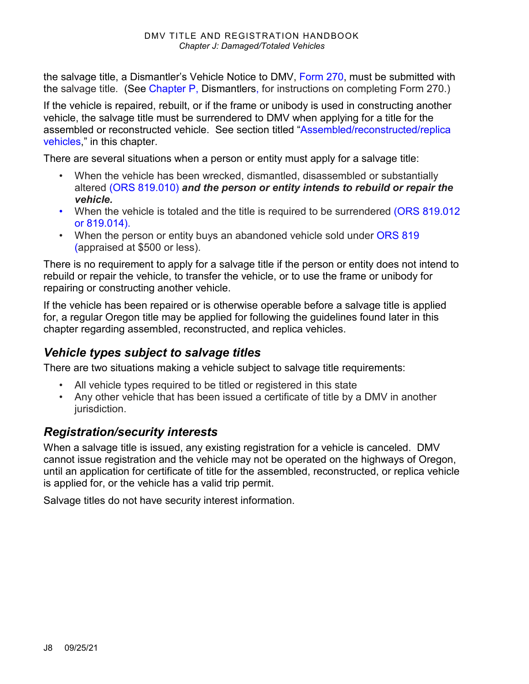the salvage title, a Dismantler's Vehicle Notice to DMV, [Form 270,](https://www.odot.state.or.us/forms/dmv/270fill.pdf) must be submitted with the salvage title*.* (See [Chapter P,](https://www.oregon.gov/ODOT/DMV/docs/VTRH/Chapter_P.pdf) Dismantlers, for instructions on completing Form 270.)

If the vehicle is repaired, rebuilt, or if the frame or unibody is used in constructing another vehicle, the salvage title must be surrendered to DMV when applying for a title for the assembled or reconstructed vehicle. See section titled ["Assembled/reconstructed/replica](#page-17-0)  [vehicles,](#page-17-0)" in this chapter.

There are several situations when a person or entity must apply for a salvage title:

- When the vehicle has been wrecked, dismantled, disassembled or substantially altered [\(ORS 819.010\)](https://www.oregonlegislature.gov/bills_laws/ors/ors819.html) *and the person or entity intends to rebuild or repair the vehicle.*
- When the vehicle is totaled and the title is required to be surrendered (ORS 819.012) [or 819.014\).](https://www.oregonlegislature.gov/bills_laws/ors/ors819.html)
- When the person or entity buys an abandoned vehicle sold under [ORS 819](https://www.oregonlegislature.gov/bills_laws/ors/ors819.html) (appraised at \$500 or less).

There is no requirement to apply for a salvage title if the person or entity does not intend to rebuild or repair the vehicle, to transfer the vehicle, or to use the frame or unibody for repairing or constructing another vehicle.

If the vehicle has been repaired or is otherwise operable before a salvage title is applied for, a regular Oregon title may be applied for following the guidelines found later in this chapter regarding assembled, reconstructed, and replica vehicles.

### *Vehicle types subject to salvage titles*

There are two situations making a vehicle subject to salvage title requirements:

- All vehicle types required to be titled or registered in this state
- Any other vehicle that has been issued a certificate of title by a DMV in another jurisdiction.

### *Registration/security interests*

When a salvage title is issued, any existing registration for a vehicle is canceled. DMV cannot issue registration and the vehicle may not be operated on the highways of Oregon, until an application for certificate of title for the assembled, reconstructed, or replica vehicle is applied for, or the vehicle has a valid trip permit.

Salvage titles do not have security interest information.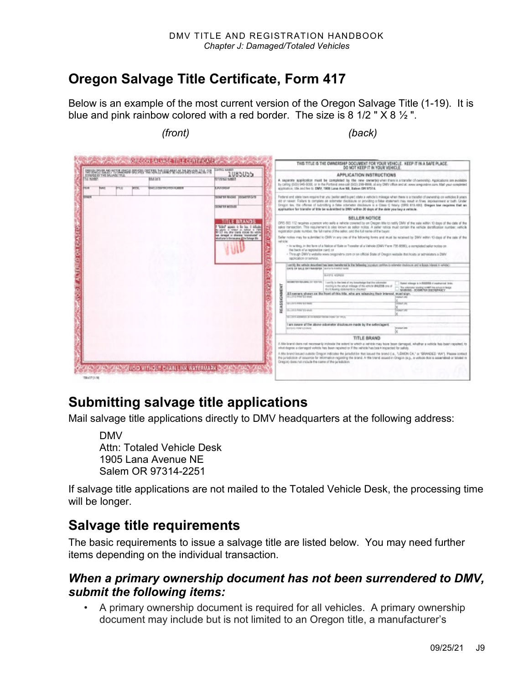## **Oregon Salvage Title Certificate, Form 417**

Below is an example of the most current version of the Oregon Salvage Title (1-19). It is blue and pink rainbow colored with a red border. The size is 8 1/2 "  $\times$  8  $\frac{1}{2}$ ".



## **Submitting salvage title applications**

Mail salvage title applications directly to DMV headquarters at the following address:

DMV Attn: Totaled Vehicle Desk 1905 Lana Avenue NE Salem OR 97314-2251

If salvage title applications are not mailed to the Totaled Vehicle Desk, the processing time will be longer.

## **Salvage title requirements**

The basic requirements to issue a salvage title are listed below. You may need further items depending on the individual transaction.

### *When a primary ownership document has not been surrendered to DMV, submit the following items:*

• A primary ownership document is required for all vehicles. A primary ownership document may include but is not limited to an Oregon title, a manufacturer's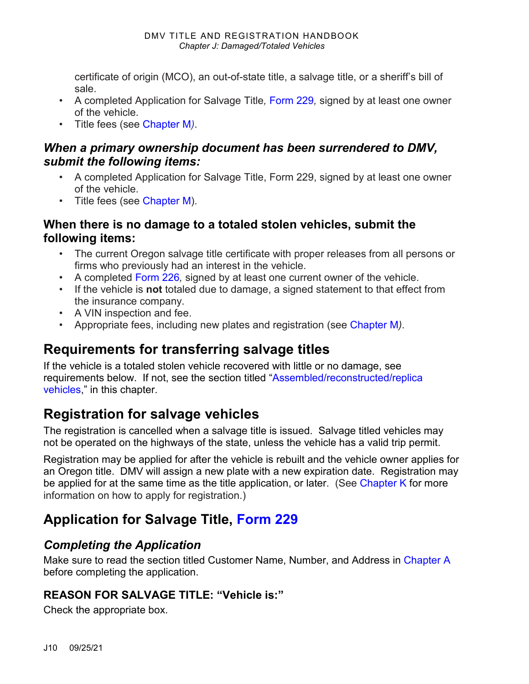certificate of origin (MCO), an out-of-state title, a salvage title, or a sheriff's bill of sale.

- A completed Application for Salvage Title*,* [Form 229](https://www.odot.state.or.us/forms/dmv/229fill.pdf)*,* signed by at least one owner of the vehicle.
- Title fees (see [Chapter M](https://www.oregon.gov/ODOT/DMV/docs/VTRH/Chapter_M.pdf)*)*.

### *When a primary ownership document has been surrendered to DMV, submit the following items:*

- A completed Application for Salvage Title, Form 229, signed by at least one owner of the vehicle.
- Title fees (see [Chapter M\)](https://www.oregon.gov/ODOT/DMV/docs/VTRH/Chapter_M.pdf).

### **When there is no damage to a totaled stolen vehicles, submit the following items:**

- The current Oregon salvage title certificate with proper releases from all persons or firms who previously had an interest in the vehicle.
- A completed [Form 226](https://www.odot.state.or.us/forms/dmv/226fill.pdf)*,* signed by at least one current owner of the vehicle.
- If the vehicle is **not** totaled due to damage, a signed statement to that effect from the insurance company.
- A VIN inspection and fee.
- Appropriate fees, including new plates and registration (see [Chapter M](https://www.oregon.gov/ODOT/DMV/docs/VTRH/Chapter_M.pdf)*)*.

## **Requirements for transferring salvage titles**

If the vehicle is a totaled stolen vehicle recovered with little or no damage, see requirements below. If not, see the section titled ["Assembled/reconstructed/replica](#page-17-0)  [vehicles,](#page-17-0)" in this chapter.

## **Registration for salvage vehicles**

The registration is cancelled when a salvage title is issued. Salvage titled vehicles may not be operated on the highways of the state, unless the vehicle has a valid trip permit.

Registration may be applied for after the vehicle is rebuilt and the vehicle owner applies for an Oregon title. DMV will assign a new plate with a new expiration date. Registration may be applied for at the same time as the title application, or later. (See [Chapter K](https://www.oregon.gov/ODOT/DMV/docs/VTRH/Chapter_K.pdf) for more information on how to apply for registration.)

## **Application for Salvage Title, [Form 229](https://www.odot.state.or.us/forms/dmv/229fill.pdf)**

### *Completing the Application*

Make sure to read the section titled Customer Name, Number, and Address in [Chapter A](https://www.oregon.gov/ODOT/DMV/docs/VTRH/Chapter_A.pdf) before completing the application.

### **REASON FOR SALVAGE TITLE: "Vehicle is:"**

Check the appropriate box.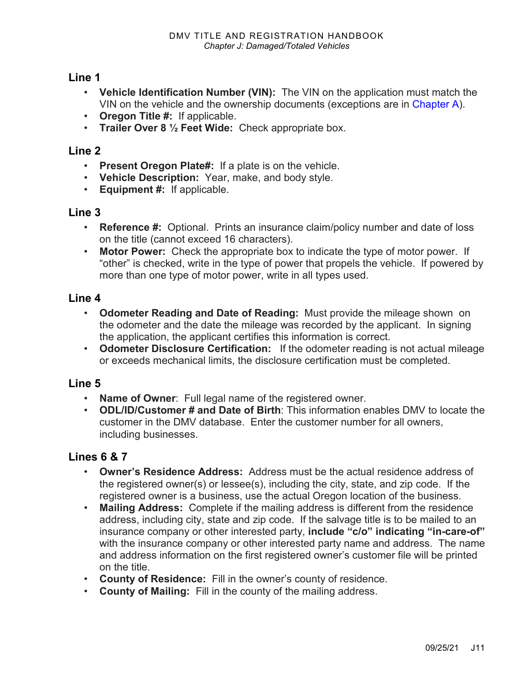#### **Line 1**

- **Vehicle Identification Number (VIN):** The VIN on the application must match the VIN on the vehicle and the ownership documents (exceptions are in [Chapter A\)](https://www.oregon.gov/ODOT/DMV/docs/VTRH/Chapter_A.pdf).
- **Oregon Title #:** If applicable.
- **Trailer Over 8 ½ Feet Wide:** Check appropriate box.

#### **Line 2**

- **Present Oregon Plate#:** If a plate is on the vehicle.
- **Vehicle Description:** Year, make, and body style.
- **Equipment #:** If applicable.

#### **Line 3**

- **Reference #:** Optional. Prints an insurance claim/policy number and date of loss on the title (cannot exceed 16 characters).
- **Motor Power:** Check the appropriate box to indicate the type of motor power. If "other" is checked, write in the type of power that propels the vehicle. If powered by more than one type of motor power, write in all types used.

#### **Line 4**

- **Odometer Reading and Date of Reading:** Must provide the mileage shown on the odometer and the date the mileage was recorded by the applicant. In signing the application, the applicant certifies this information is correct.
- **Odometer Disclosure Certification:** If the odometer reading is not actual mileage or exceeds mechanical limits, the disclosure certification must be completed.

#### **Line 5**

- **Name of Owner**: Full legal name of the registered owner.
- **ODL/ID/Customer # and Date of Birth**: This information enables DMV to locate the customer in the DMV database. Enter the customer number for all owners, including businesses.

#### **Lines 6 & 7**

- **Owner's Residence Address:** Address must be the actual residence address of the registered owner(s) or lessee(s), including the city, state, and zip code. If the registered owner is a business, use the actual Oregon location of the business.
- **Mailing Address:** Complete if the mailing address is different from the residence address, including city, state and zip code. If the salvage title is to be mailed to an insurance company or other interested party, **include "c/o" indicating "in-care-of"**  with the insurance company or other interested party name and address. The name and address information on the first registered owner's customer file will be printed on the title.
- **County of Residence:** Fill in the owner's county of residence.
- **County of Mailing:** Fill in the county of the mailing address.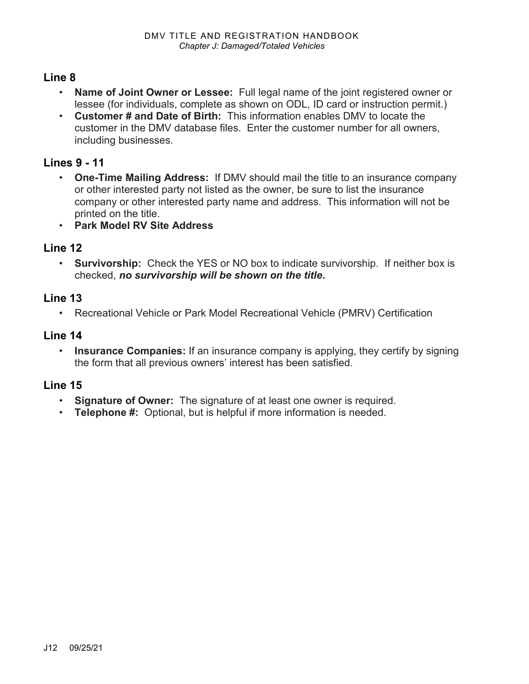#### **Line 8**

- **Name of Joint Owner or Lessee:** Full legal name of the joint registered owner or lessee (for individuals, complete as shown on ODL, ID card or instruction permit.)
- **Customer # and Date of Birth:** This information enables DMV to locate the customer in the DMV database files. Enter the customer number for all owners, including businesses.

#### **Lines 9 - 11**

- **One-Time Mailing Address:** If DMV should mail the title to an insurance company or other interested party not listed as the owner, be sure to list the insurance company or other interested party name and address. This information will not be printed on the title.
- **Park Model RV Site Address**

#### **Line 12**

• **Survivorship:** Check the YES or NO box to indicate survivorship. If neither box is checked, *no survivorship will be shown on the title***.** 

#### **Line 13**

• Recreational Vehicle or Park Model Recreational Vehicle (PMRV) Certification

#### **Line 14**

• **Insurance Companies:** If an insurance company is applying, they certify by signing the form that all previous owners' interest has been satisfied.

#### **Line 15**

- **Signature of Owner:** The signature of at least one owner is required.
- **Telephone #:** Optional, but is helpful if more information is needed.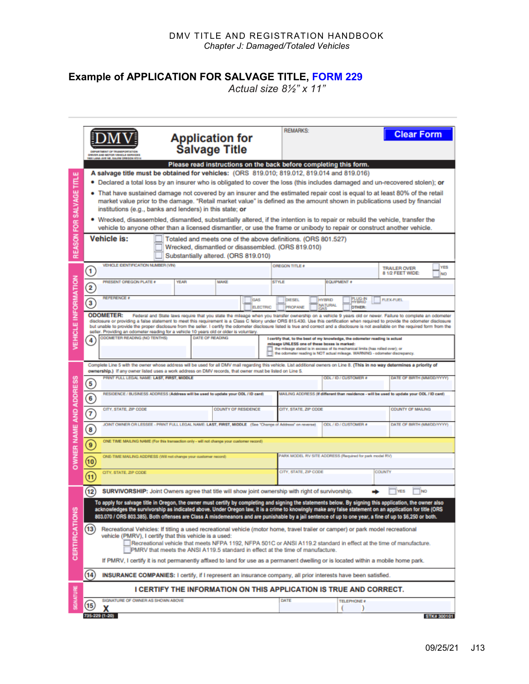#### **Example of APPLICATION FOR SALVAGE TITLE, [FORM 229](https://www.odot.state.or.us/forms/dmv/229fill.pdf)**

*Actual size 8½" x 11"*

|                            | <b>Application for</b><br><b>Salvage Title</b><br>DRIVER AND MOTOR VEHICLE SERVICES<br><b>OR LANA AVE NE. BALEM ORE!</b>                                                                                                                                                                  | <b>REMARKS:</b><br><b>Clear Form</b>                                                                                                                                                                                                                                                                                                                                           |  |  |  |  |  |  |  |  |
|----------------------------|-------------------------------------------------------------------------------------------------------------------------------------------------------------------------------------------------------------------------------------------------------------------------------------------|--------------------------------------------------------------------------------------------------------------------------------------------------------------------------------------------------------------------------------------------------------------------------------------------------------------------------------------------------------------------------------|--|--|--|--|--|--|--|--|
|                            | Please read instructions on the back before completing this form.                                                                                                                                                                                                                         |                                                                                                                                                                                                                                                                                                                                                                                |  |  |  |  |  |  |  |  |
| ш                          | A salvage title must be obtained for vehicles: (ORS 819.010; 819.012, 819.014 and 819.016)                                                                                                                                                                                                |                                                                                                                                                                                                                                                                                                                                                                                |  |  |  |  |  |  |  |  |
|                            | • Declared a total loss by an insurer who is obligated to cover the loss (this includes damaged and un-recovered stolen); or                                                                                                                                                              |                                                                                                                                                                                                                                                                                                                                                                                |  |  |  |  |  |  |  |  |
|                            | • That have sustained damage not covered by an insurer and the estimated repair cost is equal to at least 80% of the retail                                                                                                                                                               |                                                                                                                                                                                                                                                                                                                                                                                |  |  |  |  |  |  |  |  |
|                            | market value prior to the damage. "Retail market value" is defined as the amount shown in publications used by financial<br>institutions (e.g., banks and lenders) in this state; or                                                                                                      |                                                                                                                                                                                                                                                                                                                                                                                |  |  |  |  |  |  |  |  |
|                            | . Wrecked, disassembled, dismantled, substantially altered, if the intention is to repair or rebuild the vehicle, transfer the                                                                                                                                                            |                                                                                                                                                                                                                                                                                                                                                                                |  |  |  |  |  |  |  |  |
|                            | vehicle to anyone other than a licensed dismantler, or use the frame or unibody to repair or construct another vehicle.                                                                                                                                                                   |                                                                                                                                                                                                                                                                                                                                                                                |  |  |  |  |  |  |  |  |
| REASON FOR SALVAGE TITL    | Vehicle is:<br>Totaled and meets one of the above definitions. (ORS 801.527)                                                                                                                                                                                                              |                                                                                                                                                                                                                                                                                                                                                                                |  |  |  |  |  |  |  |  |
|                            | Wrecked, dismantled or disassembled. (ORS 819.010)                                                                                                                                                                                                                                        |                                                                                                                                                                                                                                                                                                                                                                                |  |  |  |  |  |  |  |  |
|                            | Substantially altered. (ORS 819.010)                                                                                                                                                                                                                                                      |                                                                                                                                                                                                                                                                                                                                                                                |  |  |  |  |  |  |  |  |
|                            | VEHICLE DENTIFICATION NUMBER (VIN)<br>1                                                                                                                                                                                                                                                   | <b>OREGON TITLE #</b><br>YES<br><b>TRAILER OVER</b><br>8 1/2 FEET WIDE:<br>NO                                                                                                                                                                                                                                                                                                  |  |  |  |  |  |  |  |  |
|                            | PRESENT OREGON PLATE #<br>YEAR<br><b>MAKE</b>                                                                                                                                                                                                                                             | <b>EQUIPMENT #</b><br><b>STYLE</b>                                                                                                                                                                                                                                                                                                                                             |  |  |  |  |  |  |  |  |
|                            | $\overline{\mathbf{2}}$                                                                                                                                                                                                                                                                   |                                                                                                                                                                                                                                                                                                                                                                                |  |  |  |  |  |  |  |  |
| <b>/EHICLE INFORMATION</b> | <b>REFERENCE #</b><br><b>GAS</b><br>3<br><b>ELECTRIC</b>                                                                                                                                                                                                                                  | PLUG-IN<br><b>HYBRID</b><br><b>FLEX-FUEL</b><br>DIESEL<br><b>YBRID</b><br><b>NATURAL</b><br><b>PROPANE</b><br><b>DTHER:</b>                                                                                                                                                                                                                                                    |  |  |  |  |  |  |  |  |
|                            | <b>ODOMETER:</b>                                                                                                                                                                                                                                                                          | Federal and State laws require that you state the mileage when you transfer ownership on a vehicle 9 years old or newer. Failure to complete an odometer                                                                                                                                                                                                                       |  |  |  |  |  |  |  |  |
|                            |                                                                                                                                                                                                                                                                                           | disclosure or providing a false statement to meet this requirement is a Class C felony under ORS 815.430. Use this certification when required to provide the odometer disclosure<br>but unable to provide the proper disclosure from the seller. I certify the odometer disclosure listed is true and correct and a disclosure is not available on the required form from the |  |  |  |  |  |  |  |  |
|                            | seller. Providing an odometer reading for a vehicle 10 years old or older is voluntary.<br>ODOMETER READING (NO TENTHS)<br><b>DATE OF READING</b><br>4                                                                                                                                    | I certify that, to the best of my knowledge, the odometer reading is actual                                                                                                                                                                                                                                                                                                    |  |  |  |  |  |  |  |  |
|                            |                                                                                                                                                                                                                                                                                           | mileage UNLESS one of these boxes is marked:<br>the mileage stated is in excess of its mechanical limits (has rolled over); or                                                                                                                                                                                                                                                 |  |  |  |  |  |  |  |  |
|                            |                                                                                                                                                                                                                                                                                           | the odometer reading is NOT actual mileage. WARNING - odometer discrepancy.                                                                                                                                                                                                                                                                                                    |  |  |  |  |  |  |  |  |
|                            | Complete Line 5 with the owner whose address will be used for all DMV mail regarding this vehicle. List additional owners on Line 8. (This in no way determines a priority of<br>ownership.) If any owner listed uses a work address on DMV records, that owner must be listed on Line 5. |                                                                                                                                                                                                                                                                                                                                                                                |  |  |  |  |  |  |  |  |
|                            | PRINT FULL LEGAL NAME: LAST, FIRST, MIDDLE                                                                                                                                                                                                                                                | ODL / ID / CUSTOMER #<br>DATE OF BIRTH (MMDD/YYYY)                                                                                                                                                                                                                                                                                                                             |  |  |  |  |  |  |  |  |
|                            | $\left(5\right)$                                                                                                                                                                                                                                                                          |                                                                                                                                                                                                                                                                                                                                                                                |  |  |  |  |  |  |  |  |
|                            | RESIDENCE / BUSINESS ADDRESS (Address will be used to update your ODL / ID card)<br>MAILING ADDRESS (If different than residence - will be used to update your ODL / ID card)<br>$\mathbf{6}$                                                                                             |                                                                                                                                                                                                                                                                                                                                                                                |  |  |  |  |  |  |  |  |
|                            | CITY, STATE, ZIP CODE<br><b>COUNTY OF RESIDENCE</b><br>F                                                                                                                                                                                                                                  | CITY, STATE, ZIP CODE<br><b>COUNTY OF MAILING</b>                                                                                                                                                                                                                                                                                                                              |  |  |  |  |  |  |  |  |
|                            | JOINT OWNER OR LESSEE - PRINT FULL LEGAL NAME: LAST, FIRST, MIDDLE (See "Change of Address" on reverse)<br>ODL / ID / CUSTOMER #                                                                                                                                                          |                                                                                                                                                                                                                                                                                                                                                                                |  |  |  |  |  |  |  |  |
|                            | DATE OF BIRTH (MMDD/YYYY)<br>◙                                                                                                                                                                                                                                                            |                                                                                                                                                                                                                                                                                                                                                                                |  |  |  |  |  |  |  |  |
| OWNER NAME AND ADDRESS     | ONE TIME MAILING NAME (For this transaction only - will not change your customer record)<br>ெ                                                                                                                                                                                             |                                                                                                                                                                                                                                                                                                                                                                                |  |  |  |  |  |  |  |  |
|                            | ONE-TIME MAILING ADDRESS (Will not change your customer record)                                                                                                                                                                                                                           | PARK MODEL RV SITE ADDRESS (Required for park model RV)                                                                                                                                                                                                                                                                                                                        |  |  |  |  |  |  |  |  |
|                            | CITY, STATE, ZIP CODE                                                                                                                                                                                                                                                                     | CITY, STATE, ZIP CODE<br>COUNTY                                                                                                                                                                                                                                                                                                                                                |  |  |  |  |  |  |  |  |
|                            | $\overline{u}$                                                                                                                                                                                                                                                                            |                                                                                                                                                                                                                                                                                                                                                                                |  |  |  |  |  |  |  |  |
|                            | $\overline{12}$<br>SURVIVORSHIP: Joint Owners agree that title will show joint ownership with right of survivorship.                                                                                                                                                                      | YES                                                                                                                                                                                                                                                                                                                                                                            |  |  |  |  |  |  |  |  |
|                            | To apply for salvage title in Oregon, the owner must certify by completing and signing the statements below. By signing this application, the owner also                                                                                                                                  |                                                                                                                                                                                                                                                                                                                                                                                |  |  |  |  |  |  |  |  |
|                            | acknowledges the survivorship as indicated above. Under Oregon law, it is a crime to knowingly make any false statement on an application for title (ORS                                                                                                                                  |                                                                                                                                                                                                                                                                                                                                                                                |  |  |  |  |  |  |  |  |
|                            | 803.070 / ORS 803.385). Both offenses are Class A misdemeanors and are punishable by a jail sentence of up to one year, a fine of up to \$6,250 or both.                                                                                                                                  |                                                                                                                                                                                                                                                                                                                                                                                |  |  |  |  |  |  |  |  |
|                            | (13)<br>Recreational Vehicles: If titling a used recreational vehicle (motor home, travel trailer or camper) or park model recreational<br>vehicle (PMRV), I certify that this vehicle is a used:                                                                                         |                                                                                                                                                                                                                                                                                                                                                                                |  |  |  |  |  |  |  |  |
|                            | Recreational vehicle that meets NFPA 1192, NFPA 501C or ANSI A119.2 standard in effect at the time of manufacture.                                                                                                                                                                        |                                                                                                                                                                                                                                                                                                                                                                                |  |  |  |  |  |  |  |  |
| CERTIFICATIONS             | PMRV that meets the ANSI A119.5 standard in effect at the time of manufacture.                                                                                                                                                                                                            |                                                                                                                                                                                                                                                                                                                                                                                |  |  |  |  |  |  |  |  |
|                            | If PMRV, I certify it is not permanently affixed to land for use as a permanent dwelling or is located within a mobile home park.                                                                                                                                                         |                                                                                                                                                                                                                                                                                                                                                                                |  |  |  |  |  |  |  |  |
|                            | (14)<br>INSURANCE COMPANIES: I certify, if I represent an insurance company, all prior interests have been satisfied.                                                                                                                                                                     |                                                                                                                                                                                                                                                                                                                                                                                |  |  |  |  |  |  |  |  |
| SIGNATURE                  |                                                                                                                                                                                                                                                                                           | I CERTIFY THE INFORMATION ON THIS APPLICATION IS TRUE AND CORRECT.                                                                                                                                                                                                                                                                                                             |  |  |  |  |  |  |  |  |
|                            | SIGNATURE OF OWNER AS SHOWN ABOVE<br>$\overline{\mathbf{15}}$                                                                                                                                                                                                                             | DATE<br><b>TELEPHONE #</b>                                                                                                                                                                                                                                                                                                                                                     |  |  |  |  |  |  |  |  |
|                            | х<br>735-229 (1-20)                                                                                                                                                                                                                                                                       | STK# 300101                                                                                                                                                                                                                                                                                                                                                                    |  |  |  |  |  |  |  |  |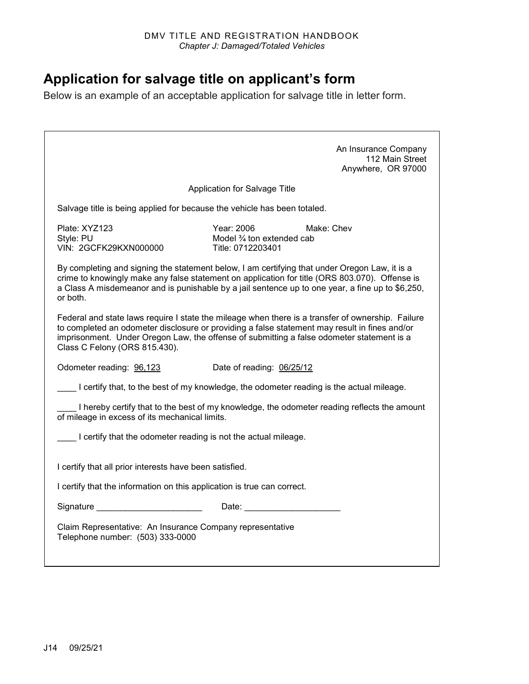## **Application for salvage title on applicant's form**

Below is an example of an acceptable application for salvage title in letter form.

|                                                                                                                                                                                                                             |                                                               | An Insurance Company<br>112 Main Street<br>Anywhere, OR 97000                                                                                                                                      |
|-----------------------------------------------------------------------------------------------------------------------------------------------------------------------------------------------------------------------------|---------------------------------------------------------------|----------------------------------------------------------------------------------------------------------------------------------------------------------------------------------------------------|
|                                                                                                                                                                                                                             | Application for Salvage Title                                 |                                                                                                                                                                                                    |
| Salvage title is being applied for because the vehicle has been totaled.                                                                                                                                                    |                                                               |                                                                                                                                                                                                    |
| Plate: XYZ123<br>Style: PU<br>VIN: 2GCFK29KXN000000                                                                                                                                                                         | Year: 2006<br>Model 3/4 ton extended cab<br>Title: 0712203401 | Make: Chev                                                                                                                                                                                         |
| By completing and signing the statement below, I am certifying that under Oregon Law, it is a<br>or both.                                                                                                                   |                                                               | crime to knowingly make any false statement on application for title (ORS 803.070). Offense is<br>a Class A misdemeanor and is punishable by a jail sentence up to one year, a fine up to \$6,250, |
| to completed an odometer disclosure or providing a false statement may result in fines and/or<br>imprisonment. Under Oregon Law, the offense of submitting a false odometer statement is a<br>Class C Felony (ORS 815.430). |                                                               | Federal and state laws require I state the mileage when there is a transfer of ownership. Failure                                                                                                  |
| Odometer reading: 96,123                                                                                                                                                                                                    | Date of reading: 06/25/12                                     |                                                                                                                                                                                                    |
| I certify that, to the best of my knowledge, the odometer reading is the actual mileage.                                                                                                                                    |                                                               |                                                                                                                                                                                                    |
| of mileage in excess of its mechanical limits.                                                                                                                                                                              |                                                               | I hereby certify that to the best of my knowledge, the odometer reading reflects the amount                                                                                                        |
| I certify that the odometer reading is not the actual mileage.                                                                                                                                                              |                                                               |                                                                                                                                                                                                    |
| I certify that all prior interests have been satisfied.                                                                                                                                                                     |                                                               |                                                                                                                                                                                                    |
| I certify that the information on this application is true can correct.                                                                                                                                                     |                                                               |                                                                                                                                                                                                    |
| Signature _________________________                                                                                                                                                                                         |                                                               |                                                                                                                                                                                                    |
| Claim Representative: An Insurance Company representative<br>Telephone number: (503) 333-0000                                                                                                                               |                                                               |                                                                                                                                                                                                    |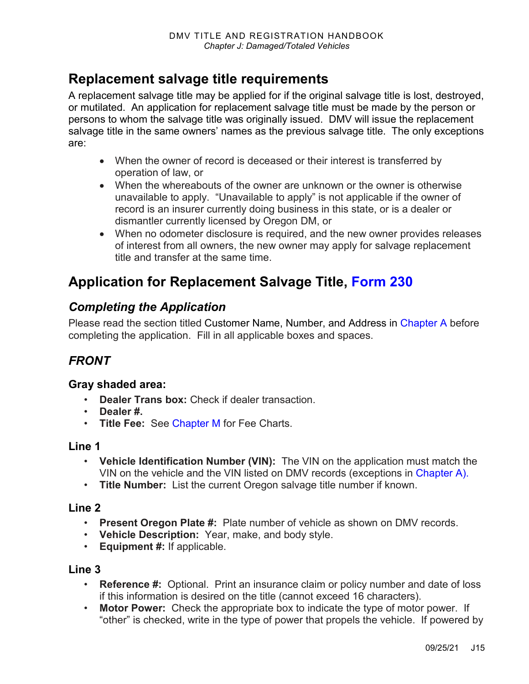## **Replacement salvage title requirements**

A replacement salvage title may be applied for if the original salvage title is lost, destroyed, or mutilated. An application for replacement salvage title must be made by the person or persons to whom the salvage title was originally issued. DMV will issue the replacement salvage title in the same owners' names as the previous salvage title. The only exceptions are:

- When the owner of record is deceased or their interest is transferred by operation of law, or
- When the whereabouts of the owner are unknown or the owner is otherwise unavailable to apply. "Unavailable to apply" is not applicable if the owner of record is an insurer currently doing business in this state, or is a dealer or dismantler currently licensed by Oregon DM, or
- When no odometer disclosure is required, and the new owner provides releases of interest from all owners, the new owner may apply for salvage replacement title and transfer at the same time.

## **Application for Replacement Salvage Title, [Form 230](https://www.odot.state.or.us/forms/dmv/230.pdf)**

### *Completing the Application*

Please read the section titled Customer Name, Number, and Address in [Chapter A](https://www.oregon.gov/ODOT/DMV/docs/VTRH/Chapter_A.pdf) before completing the application. Fill in all applicable boxes and spaces.

### *FRONT*

#### **Gray shaded area:**

- **Dealer Trans box:** Check if dealer transaction
- **Dealer #.**
- **Title Fee:** See [Chapter M](https://www.oregon.gov/ODOT/DMV/docs/VTRH/Chapter_M.pdf) for Fee Charts.

#### **Line 1**

- **Vehicle Identification Number (VIN):** The VIN on the application must match the VIN on the vehicle and the VIN listed on DMV records (exceptions in [Chapter A\)](https://www.oregon.gov/ODOT/DMV/docs/VTRH/Chapter_A.pdf).
- **Title Number:** List the current Oregon salvage title number if known.

#### **Line 2**

- **Present Oregon Plate #:** Plate number of vehicle as shown on DMV records.
- **Vehicle Description:** Year, make, and body style.
- **Equipment #:** If applicable.

#### **Line 3**

- **Reference #:** Optional. Print an insurance claim or policy number and date of loss if this information is desired on the title (cannot exceed 16 characters).
- **Motor Power:** Check the appropriate box to indicate the type of motor power. If "other" is checked, write in the type of power that propels the vehicle. If powered by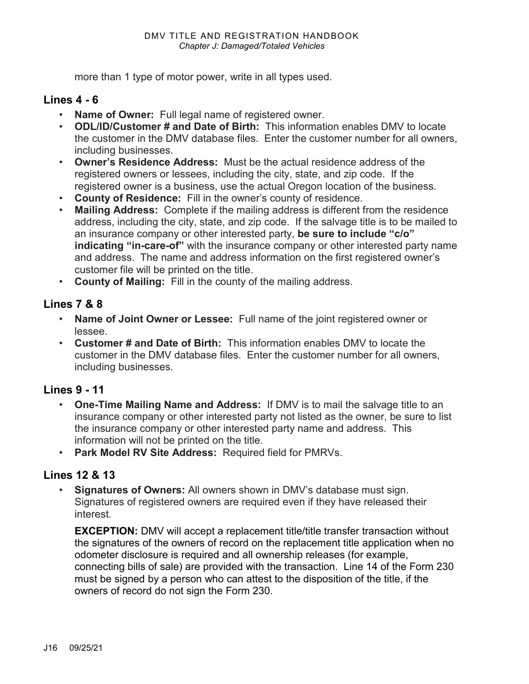more than 1 type of motor power, write in all types used.

#### **Lines 4 - 6**

- **Name of Owner:** Full legal name of registered owner.
- **ODL/ID/Customer # and Date of Birth:** This information enables DMV to locate the customer in the DMV database files. Enter the customer number for all owners, including businesses.
- **Owner's Residence Address:** Must be the actual residence address of the registered owners or lessees, including the city, state, and zip code. If the registered owner is a business, use the actual Oregon location of the business.
- **County of Residence:** Fill in the owner's county of residence.
- **Mailing Address:** Complete if the mailing address is different from the residence address, including the city, state, and zip code. If the salvage title is to be mailed to an insurance company or other interested party, **be sure to include "c/o" indicating "in-care-of"** with the insurance company or other interested party name and address. The name and address information on the first registered owner's customer file will be printed on the title.
- **County of Mailing:** Fill in the county of the mailing address.

#### **Lines 7 & 8**

- **Name of Joint Owner or Lessee:** Full name of the joint registered owner or lessee.
- **Customer # and Date of Birth:** This information enables DMV to locate the customer in the DMV database files. Enter the customer number for all owners, including businesses.

#### **Lines 9 - 11**

- **One-Time Mailing Name and Address:** If DMV is to mail the salvage title to an insurance company or other interested party not listed as the owner, be sure to list the insurance company or other interested party name and address. This information will not be printed on the title.
- **Park Model RV Site Address:** Required field for PMRVs.

#### **Lines 12 & 13**

• **Signatures of Owners:** All owners shown in DMV's database must sign. Signatures of registered owners are required even if they have released their interest.

**EXCEPTION:** DMV will accept a replacement title/title transfer transaction without the signatures of the owners of record on the replacement title application when no odometer disclosure is required and all ownership releases (for example, connecting bills of sale) are provided with the transaction. Line 14 of the Form 230 must be signed by a person who can attest to the disposition of the title, if the owners of record do not sign the Form 230.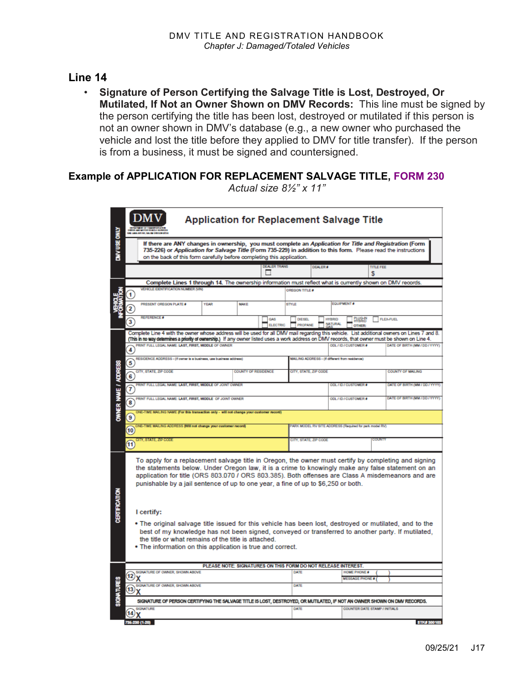#### **Line 14**

• **Signature of Person Certifying the Salvage Title is Lost, Destroyed, Or Mutilated, If Not an Owner Shown on DMV Records:** This line must be signed by the person certifying the title has been lost, destroyed or mutilated if this person is not an owner shown in DMV's database (e.g., a new owner who purchased the vehicle and lost the title before they applied to DMV for title transfer). If the person is from a business, it must be signed and countersigned.

#### **Example of APPLICATION FOR REPLACEMENT SALVAGE TITLE, [FORM 230](https://www.odot.state.or.us/forms/dmv/230fill.pdf)**

|                      |                                                                                                                                                                                                                                                                                                                                                                                                                                                                                                                                                                                                                                                                                                                                                       | <b>Application for Replacement Salvage Title</b>                                                                                                                                                                                                                                                |                                                               |      |                               |                                                        |                                                 |                                      |                                |                                |  |
|----------------------|-------------------------------------------------------------------------------------------------------------------------------------------------------------------------------------------------------------------------------------------------------------------------------------------------------------------------------------------------------------------------------------------------------------------------------------------------------------------------------------------------------------------------------------------------------------------------------------------------------------------------------------------------------------------------------------------------------------------------------------------------------|-------------------------------------------------------------------------------------------------------------------------------------------------------------------------------------------------------------------------------------------------------------------------------------------------|---------------------------------------------------------------|------|-------------------------------|--------------------------------------------------------|-------------------------------------------------|--------------------------------------|--------------------------------|--------------------------------|--|
|                      | DIV USE ONLY<br>If there are ANY changes in ownership, you must complete an Application for Title and Registration (Form<br>735-226) or Application for Salvage Title (Form 735-229) in addition to this form. Please read the instructions<br>on the back of this form carefully before completing this application.                                                                                                                                                                                                                                                                                                                                                                                                                                 |                                                                                                                                                                                                                                                                                                 |                                                               |      |                               |                                                        |                                                 |                                      |                                |                                |  |
|                      |                                                                                                                                                                                                                                                                                                                                                                                                                                                                                                                                                                                                                                                                                                                                                       |                                                                                                                                                                                                                                                                                                 |                                                               |      | <b>DEALER TRANS</b>           |                                                        | <b>DEALER</b>                                   |                                      | <b>TITLE FEE</b><br>\$         |                                |  |
|                      |                                                                                                                                                                                                                                                                                                                                                                                                                                                                                                                                                                                                                                                                                                                                                       | Complete Lines 1 through 14. The ownership information must reflect what is currently shown on DMV records.                                                                                                                                                                                     |                                                               |      |                               |                                                        |                                                 |                                      |                                |                                |  |
|                      |                                                                                                                                                                                                                                                                                                                                                                                                                                                                                                                                                                                                                                                                                                                                                       | VEHICLE IDENTIFICATION NUMBER (VIN)                                                                                                                                                                                                                                                             |                                                               |      |                               | OREGON TITLE #                                         |                                                 |                                      |                                |                                |  |
|                      | 2                                                                                                                                                                                                                                                                                                                                                                                                                                                                                                                                                                                                                                                                                                                                                     | PRESENT OREGON PLATE #                                                                                                                                                                                                                                                                          | <b>YEAR</b>                                                   | MAKE |                               | <b>STYLE</b>                                           |                                                 | EQUIPMENT #                          |                                |                                |  |
|                      | 3                                                                                                                                                                                                                                                                                                                                                                                                                                                                                                                                                                                                                                                                                                                                                     | <b>REFERENCE #</b>                                                                                                                                                                                                                                                                              |                                                               |      | <b>GAS</b><br><b>ELECTRIC</b> | <b>DIESEL</b><br><b>PROPANE</b>                        | <b>HYBRID</b><br><b>NATURAL</b>                 | PLUG-IN<br>HYBRID<br><b>OTHER:</b>   |                                | <b>FLEX-FUEL</b>               |  |
|                      |                                                                                                                                                                                                                                                                                                                                                                                                                                                                                                                                                                                                                                                                                                                                                       | Complete Line 4 with the owner whose address will be used for all DMV mail regarding this vehicle. List additional owners on Lines 7 and 8.<br>(This in no way determines a priority of ownership.) If any owner listed uses a work address on DMV records, that owner must be shown on Line 4. |                                                               |      |                               |                                                        |                                                 |                                      |                                |                                |  |
|                      | 4                                                                                                                                                                                                                                                                                                                                                                                                                                                                                                                                                                                                                                                                                                                                                     | PRINT FULL LEGAL NAME: LAST, FIRST, MIDDLE OF OWNER                                                                                                                                                                                                                                             |                                                               |      |                               |                                                        |                                                 | ODL / ID / CUSTOMER #                |                                | DATE OF BRITH (MM / DD / YYYY) |  |
|                      | 5                                                                                                                                                                                                                                                                                                                                                                                                                                                                                                                                                                                                                                                                                                                                                     | RESIDENCE ADDRESS - (If owner is a business, use business address)                                                                                                                                                                                                                              |                                                               |      |                               |                                                        | MAILING ADDRESS - (if different from residence) |                                      |                                |                                |  |
|                      | $\boldsymbol{6}$                                                                                                                                                                                                                                                                                                                                                                                                                                                                                                                                                                                                                                                                                                                                      | CITY, STATE, ZIP CODE<br><b>COUNTY OF RESIDENCE</b>                                                                                                                                                                                                                                             |                                                               |      | CITY, STATE, ZIP CODE         |                                                        |                                                 |                                      | <b>COUNTY OF MAILING</b>       |                                |  |
|                      | T                                                                                                                                                                                                                                                                                                                                                                                                                                                                                                                                                                                                                                                                                                                                                     | PRINT FULL LEGAL NAME: LAST, FIRST, MIDDLE OF JOINT OWNER                                                                                                                                                                                                                                       |                                                               |      |                               | ODL / ID / CUSTOMER #                                  |                                                 |                                      | DATE OF BIRTH (MM / DD / YYYY) |                                |  |
| OWNER WANE / ADDRESS | 8                                                                                                                                                                                                                                                                                                                                                                                                                                                                                                                                                                                                                                                                                                                                                     | PRINT FULL LEGAL NAME: LAST, FIRST, MIDDLE OF JOINT OWNER                                                                                                                                                                                                                                       |                                                               |      |                               | ODL / ID / CUSTOMER #                                  |                                                 |                                      | DATE OF BIRTH (MM / DD / YYYY) |                                |  |
|                      | 9                                                                                                                                                                                                                                                                                                                                                                                                                                                                                                                                                                                                                                                                                                                                                     | TME MAILING NAME (For this transaction only - will not change your customer record)                                                                                                                                                                                                             |                                                               |      |                               |                                                        |                                                 |                                      |                                |                                |  |
|                      | 10                                                                                                                                                                                                                                                                                                                                                                                                                                                                                                                                                                                                                                                                                                                                                    | IME MAILING ADDRESS (Will not change your customer record)                                                                                                                                                                                                                                      |                                                               |      |                               | ARK MODEL RV SITE ADDRESS (Required for park model RV) |                                                 |                                      |                                |                                |  |
|                      | $\overline{11}$                                                                                                                                                                                                                                                                                                                                                                                                                                                                                                                                                                                                                                                                                                                                       | , STATE, ZIP COD                                                                                                                                                                                                                                                                                |                                                               |      |                               | CITY, STATE, ZIP CODE                                  |                                                 |                                      | <b>SECURITY</b>                |                                |  |
| <b>CERTIFICATION</b> | To apply for a replacement salvage title in Oregon, the owner must certify by completing and signing<br>the statements below. Under Oregon law, it is a crime to knowingly make any false statement on an<br>application for title (ORS 803.070 / ORS 803.385). Both offenses are Class A misdemeanors and are<br>punishable by a jail sentence of up to one year, a fine of up to \$6,250 or both.<br>I certify:<br>. The original salvage title issued for this vehicle has been lost, destroyed or mutilated, and to the<br>best of my knowledge has not been signed, conveyed or transferred to another party. If mutilated,<br>the title or what remains of the title is attached.<br>• The information on this application is true and correct. |                                                                                                                                                                                                                                                                                                 |                                                               |      |                               |                                                        |                                                 |                                      |                                |                                |  |
|                      |                                                                                                                                                                                                                                                                                                                                                                                                                                                                                                                                                                                                                                                                                                                                                       |                                                                                                                                                                                                                                                                                                 |                                                               |      |                               |                                                        |                                                 |                                      |                                |                                |  |
|                      |                                                                                                                                                                                                                                                                                                                                                                                                                                                                                                                                                                                                                                                                                                                                                       | SIGNATURE OF OWNER, SHOWN ABOVE                                                                                                                                                                                                                                                                 | PLEASE NOTE: SIGNATURES ON THIS FORM DO NOT RELEASE INTEREST. |      |                               | DATE                                                   |                                                 | <b>HOME PHONE #</b>                  |                                |                                |  |
|                      | (12)                                                                                                                                                                                                                                                                                                                                                                                                                                                                                                                                                                                                                                                                                                                                                  |                                                                                                                                                                                                                                                                                                 |                                                               |      |                               |                                                        |                                                 | <b>MESSAGE PHONE #</b>               |                                |                                |  |
| <b>SIGNATURES</b>    | 13                                                                                                                                                                                                                                                                                                                                                                                                                                                                                                                                                                                                                                                                                                                                                    | SIGNATURE OF OWNER, SHOWN ABOVE                                                                                                                                                                                                                                                                 |                                                               |      |                               | DATE                                                   |                                                 |                                      |                                |                                |  |
|                      |                                                                                                                                                                                                                                                                                                                                                                                                                                                                                                                                                                                                                                                                                                                                                       | SIGNATURE OF PERSON CERTIFYING THE SALVAGE TITLE IS LOST, DESTROYED, OR MUTILATED, IF NOT AN OWNER SHOWN ON DMV RECORDS.                                                                                                                                                                        |                                                               |      |                               |                                                        |                                                 |                                      |                                |                                |  |
|                      | 14)                                                                                                                                                                                                                                                                                                                                                                                                                                                                                                                                                                                                                                                                                                                                                   | <b>SIGNATURE</b>                                                                                                                                                                                                                                                                                |                                                               |      |                               | DATE                                                   |                                                 | <b>COUNTER DATE STAMP / INITIALS</b> |                                |                                |  |
|                      |                                                                                                                                                                                                                                                                                                                                                                                                                                                                                                                                                                                                                                                                                                                                                       | -230 (1-20)                                                                                                                                                                                                                                                                                     |                                                               |      |                               |                                                        |                                                 |                                      |                                | STK# 300103                    |  |

*Actual size 8½" x 11"*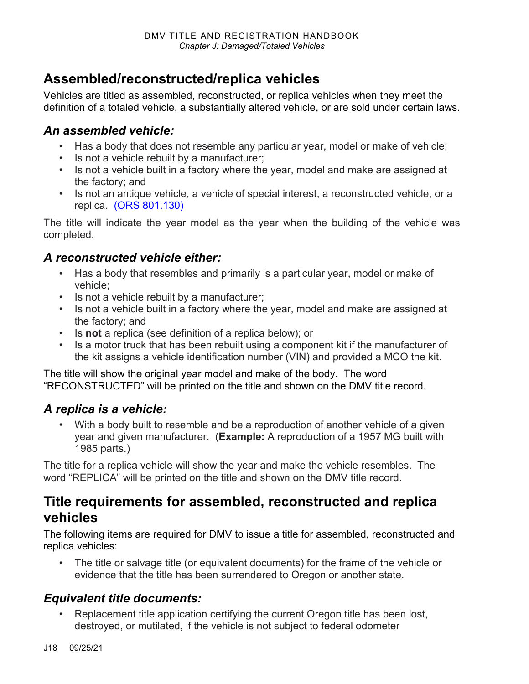## <span id="page-17-0"></span>**Assembled/reconstructed/replica vehicles**

Vehicles are titled as assembled, reconstructed, or replica vehicles when they meet the definition of a totaled vehicle, a substantially altered vehicle, or are sold under certain laws.

### *An assembled vehicle:*

- Has a body that does not resemble any particular year, model or make of vehicle;
- Is not a vehicle rebuilt by a manufacturer;
- Is not a vehicle built in a factory where the year, model and make are assigned at the factory; and
- Is not an antique vehicle, a vehicle of special interest, a reconstructed vehicle, or a replica. [\(ORS 801.130\)](https://www.oregonlegislature.gov/bills_laws/ors/ors819.html)

The title will indicate the year model as the year when the building of the vehicle was completed.

### *A reconstructed vehicle either:*

- Has a body that resembles and primarily is a particular year, model or make of vehicle;
- Is not a vehicle rebuilt by a manufacturer;
- Is not a vehicle built in a factory where the year, model and make are assigned at the factory; and
- Is **not** a replica (see definition of a replica below); or
- Is a motor truck that has been rebuilt using a component kit if the manufacturer of the kit assigns a vehicle identification number (VIN) and provided a MCO the kit.

The title will show the original year model and make of the body. The word "RECONSTRUCTED" will be printed on the title and shown on the DMV title record.

### *A replica is a vehicle:*

With a body built to resemble and be a reproduction of another vehicle of a given year and given manufacturer. (**Example:** A reproduction of a 1957 MG built with 1985 parts.)

The title for a replica vehicle will show the year and make the vehicle resembles. The word "REPLICA" will be printed on the title and shown on the DMV title record.

### **Title requirements for assembled, reconstructed and replica vehicles**

The following items are required for DMV to issue a title for assembled, reconstructed and replica vehicles:

• The title or salvage title (or equivalent documents) for the frame of the vehicle or evidence that the title has been surrendered to Oregon or another state.

### *Equivalent title documents:*

Replacement title application certifying the current Oregon title has been lost, destroyed, or mutilated, if the vehicle is not subject to federal odometer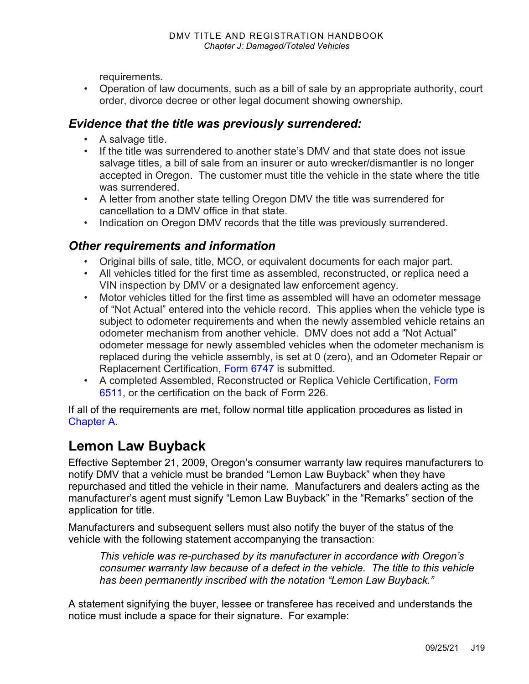requirements.

• Operation of law documents, such as a bill of sale by an appropriate authority, court order, divorce decree or other legal document showing ownership.

### *Evidence that the title was previously surrendered:*

- A salvage title.
- If the title was surrendered to another state's DMV and that state does not issue salvage titles, a bill of sale from an insurer or auto wrecker/dismantler is no longer accepted in Oregon. The customer must title the vehicle in the state where the title was surrendered.
- A letter from another state telling Oregon DMV the title was surrendered for cancellation to a DMV office in that state.
- Indication on Oregon DMV records that the title was previously surrendered.

### *Other requirements and information*

- Original bills of sale, title, MCO, or equivalent documents for each major part.
- All vehicles titled for the first time as assembled, reconstructed, or replica need a VIN inspection by DMV or a designated law enforcement agency.
- Motor vehicles titled for the first time as assembled will have an odometer message of "Not Actual" entered into the vehicle record. This applies when the vehicle type is subject to odometer requirements and when the newly assembled vehicle retains an odometer mechanism from another vehicle. DMV does not add a "Not Actual" odometer message for newly assembled vehicles when the odometer mechanism is replaced during the vehicle assembly, is set at 0 (zero), and an Odometer Repair or Replacement Certification, [Form 6747](https://www.odot.state.or.us/forms/dmv/6747fill.pdf) is submitted.
- A completed Assembled, Reconstructed or Replica Vehicle Certification, [Form](https://www.odot.state.or.us/forms/dmv/6511fill.pdf)  [6511,](https://www.odot.state.or.us/forms/dmv/6511fill.pdf) or the certification on the back of Form 226.

If all of the requirements are met, follow normal title application procedures as listed in [Chapter A.](https://www.oregon.gov/ODOT/DMV/docs/VTRH/Chapter_A.pdf)

## **Lemon Law Buyback**

Effective September 21, 2009, Oregon's consumer warranty law requires manufacturers to notify DMV that a vehicle must be branded "Lemon Law Buyback" when they have repurchased and titled the vehicle in their name. Manufacturers and dealers acting as the manufacturer's agent must signify "Lemon Law Buyback" in the "Remarks" section of the application for title.

Manufacturers and subsequent sellers must also notify the buyer of the status of the vehicle with the following statement accompanying the transaction:

*This vehicle was re-purchased by its manufacturer in accordance with Oregon's consumer warranty law because of a defect in the vehicle. The title to this vehicle has been permanently inscribed with the notation "Lemon Law Buyback."*

A statement signifying the buyer, lessee or transferee has received and understands the notice must include a space for their signature. For example: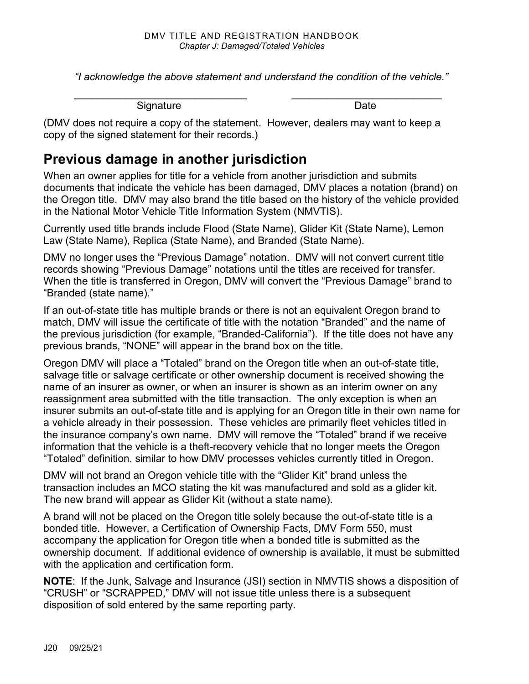*"I acknowledge the above statement and understand the condition of the vehicle."*

*\_\_\_\_\_\_\_\_\_\_\_\_\_\_\_\_\_\_\_\_\_\_\_\_\_\_\_\_\_\_ \_\_\_\_\_\_\_\_\_\_\_\_\_\_\_\_\_\_\_\_\_\_\_\_\_\_*

Signature Date

(DMV does not require a copy of the statement. However, dealers may want to keep a copy of the signed statement for their records.)

## **Previous damage in another jurisdiction**

When an owner applies for title for a vehicle from another jurisdiction and submits documents that indicate the vehicle has been damaged, DMV places a notation (brand) on the Oregon title. DMV may also brand the title based on the history of the vehicle provided in the National Motor Vehicle Title Information System (NMVTIS).

Currently used title brands include Flood (State Name), Glider Kit (State Name), Lemon Law (State Name), Replica (State Name), and Branded (State Name).

DMV no longer uses the "Previous Damage" notation. DMV will not convert current title records showing "Previous Damage" notations until the titles are received for transfer. When the title is transferred in Oregon, DMV will convert the "Previous Damage" brand to "Branded (state name)."

If an out-of-state title has multiple brands or there is not an equivalent Oregon brand to match, DMV will issue the certificate of title with the notation "Branded" and the name of the previous jurisdiction (for example, "Branded-California"). If the title does not have any previous brands, "NONE" will appear in the brand box on the title.

Oregon DMV will place a "Totaled" brand on the Oregon title when an out-of-state title, salvage title or salvage certificate or other ownership document is received showing the name of an insurer as owner, or when an insurer is shown as an interim owner on any reassignment area submitted with the title transaction. The only exception is when an insurer submits an out-of-state title and is applying for an Oregon title in their own name for a vehicle already in their possession. These vehicles are primarily fleet vehicles titled in the insurance company's own name. DMV will remove the "Totaled" brand if we receive information that the vehicle is a theft-recovery vehicle that no longer meets the Oregon "Totaled" definition, similar to how DMV processes vehicles currently titled in Oregon.

DMV will not brand an Oregon vehicle title with the "Glider Kit" brand unless the transaction includes an MCO stating the kit was manufactured and sold as a glider kit. The new brand will appear as Glider Kit (without a state name).

A brand will not be placed on the Oregon title solely because the out-of-state title is a bonded title. However, a Certification of Ownership Facts, DMV Form 550, must accompany the application for Oregon title when a bonded title is submitted as the ownership document. If additional evidence of ownership is available, it must be submitted with the application and certification form.

**NOTE**: If the Junk, Salvage and Insurance (JSI) section in NMVTIS shows a disposition of "CRUSH" or "SCRAPPED," DMV will not issue title unless there is a subsequent disposition of sold entered by the same reporting party.